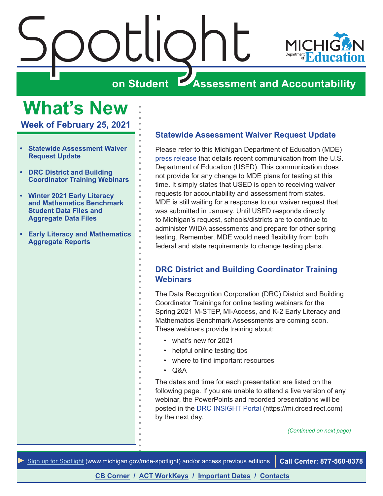<span id="page-0-0"></span>



**Week of February 25, 2021**

- **• Statewide Assessment Waiver Request Update**
- **• DRC District and Building Coordinator Training Webinars**
- **• [Winter 2021 Early Literacy](#page-1-0)  [and Mathematics Benchmark](#page-1-0)  [Student Data Files and](#page-1-0)  [Aggregate Data Files](#page-1-0)**
- **• [Early Literacy and Mathematics](#page-2-0)  [Aggregate Reports](#page-2-0)**

# **Statewide Assessment Waiver Request Update**

Please refer to this Michigan Department of Education (MDE) [press release](https://www.michigan.gov/mde/0,4615,7-140-37818_34785-552657--,00.html) that details recent communication from the U.S. Department of Education (USED). This communication does not provide for any change to MDE plans for testing at this time. It simply states that USED is open to receiving waiver requests for accountability and assessment from states. MDE is still waiting for a response to our waiver request that was submitted in January. Until USED responds directly to Michigan's request, schools/districts are to continue to administer WIDA assessments and prepare for other spring testing. Remember, MDE would need flexibility from both federal and state requirements to change testing plans.

# **DRC District and Building Coordinator Training Webinars**

The Data Recognition Corporation (DRC) District and Building Coordinator Trainings for online testing webinars for the Spring 2021 M-STEP, MI-Access, and K-2 Early Literacy and Mathematics Benchmark Assessments are coming soon. These webinars provide training about:

- what's new for 2021
- helpful online testing tips
- where to find important resources
- Q&A

The dates and time for each presentation are listed on the following page. If you are unable to attend a live version of any webinar, the PowerPoints and recorded presentations will be posted in the [DRC INSIGHT Portal](https://mi.drcedirect.com) (https://mi.drcedirect.com) by the next day.

*(Continued on next page)*

*►* [Sign up for Spotlight](https://public.govdelivery.com/accounts/MIMDE/subscriber/new) ([www.michigan.gov/mde](www.michigan.gov/mde-spotlight)-spotlight) and/or access previous editions **Call Center: 877-560-8378**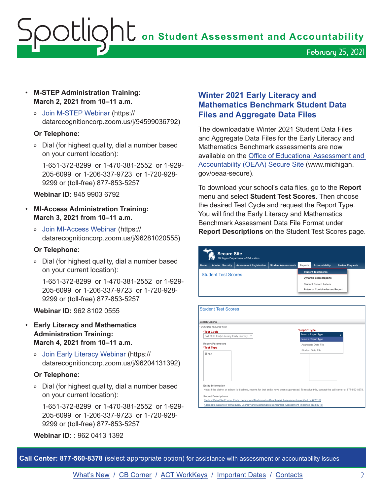February 25, 2021

- <span id="page-1-0"></span>• **M-STEP Administration Training: March 2, 2021 from 10–11 a.m.**
	- » [Join M-STEP Webinar](https://datarecognitioncorp.zoom.us/j/94599036792) (https:// datarecognitioncorp.zoom.us/j/94599036792)

#### **Or Telephone:**

» Dial (for highest quality, dial a number based on your current location):

1-651-372-8299 or 1-470-381-2552 or 1-929- 205-6099 or 1-206-337-9723 or 1-720-928- 9299 or (toll-free) 877-853-5257

## **Webinar ID:** 945 9903 6792

- **MI-Access Administration Training: March 3, 2021 from 10–11 a.m.** 
	- » [Join MI-Access Webinar](https://datarecognitioncorp.zoom.us/j/96281020555) (https:// datarecognitioncorp.zoom.us/j/96281020555)

## **Or Telephone:**

» Dial (for highest quality, dial a number based on your current location):

1-651-372-8299 or 1-470-381-2552 or 1-929- 205-6099 or 1-206-337-9723 or 1-720-928- 9299 or (toll-free) 877-853-5257

**Webinar ID:** 962 8102 0555

- **Early Literacy and Mathematics Administration Training: March 4, 2021 from 10–11 a.m.**
	- » [Join Early Literacy Webinar](https://datarecognitioncorp.zoom.us/j/96204131392) (https:// datarecognitioncorp.zoom.us/j/96204131392)

## **Or Telephone:**

» Dial (for highest quality, dial a number based on your current location):

1-651-372-8299 or 1-470-381-2552 or 1-929- 205-6099 or 1-206-337-9723 or 1-720-928- 9299 or (toll-free) 877-853-5257

**Webinar ID:** : 962 0413 1392

# **Winter 2021 Early Literacy and Mathematics Benchmark Student Data Files and Aggregate Data Files**

The downloadable Winter 2021 Student Data Files and Aggregate Data Files for the Early Literacy and Mathematics Benchmark assessments are now available on the [Office of Educational Assessment and](http://www.michigan.gov/oeaa-secure)  [Accountability \(OEAA\) Secure Site](http://www.michigan.gov/oeaa-secure) (www.michigan. gov/oeaa-secure).

To download your school's data files, go to the **Report** menu and select **Student Test Scores**. Then choose the desired Test Cycle and request the Report Type. You will find the Early Literacy and Mathematics Benchmark Assessment Data File Format under **Report Descriptions** on the Student Test Scores page.

| Admin Security<br>Home                                                      | <b>Assessment Registration</b> | <b>Student Assessments</b> | Reports                                | <b>Accountability</b>                       | <b>Review Requests</b> |
|-----------------------------------------------------------------------------|--------------------------------|----------------------------|----------------------------------------|---------------------------------------------|------------------------|
| <b>Student Test Scores</b>                                                  |                                | <b>Student Test Scores</b> |                                        |                                             |                        |
|                                                                             |                                |                            |                                        | <b>Dynamic Score Reports</b>                |                        |
|                                                                             |                                |                            | <b>Student Record Labels</b>           |                                             |                        |
|                                                                             |                                |                            | <b>Potential Combine Issues Report</b> |                                             |                        |
| <b>Student Test Scores</b><br>Search Criteria<br>* Indicates required field |                                |                            |                                        |                                             |                        |
| *Test Cycle<br>Fall 2019 Early Literacy Early Literacy                      |                                |                            | *Report Type                           | Select a Report Type                        |                        |
| <b>Report Parameters</b><br>*Test Type                                      |                                |                            |                                        | Select a Report Type<br>Aggregate Data File |                        |
| <b>MNA</b>                                                                  |                                |                            | Student Data File                      |                                             |                        |
|                                                                             |                                |                            |                                        |                                             |                        |
|                                                                             |                                |                            |                                        |                                             |                        |
|                                                                             |                                |                            |                                        |                                             |                        |
|                                                                             |                                |                            |                                        |                                             |                        |

**Call Center: 877-560-8378** (select appropriate option) for assistance with assessment or accountability issues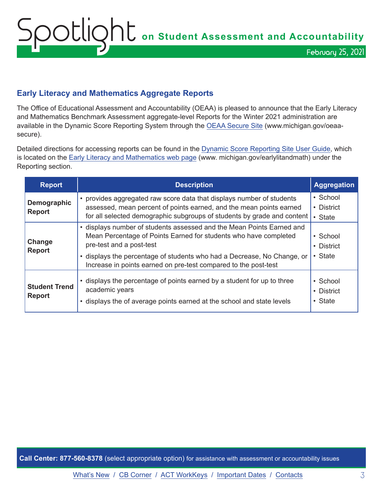# <span id="page-2-0"></span>**Early Literacy and Mathematics Aggregate Reports**

The Office of Educational Assessment and Accountability (OEAA) is pleased to announce that the Early Literacy and Mathematics Benchmark Assessment aggregate-level Reports for the Winter 2021 administration are available in the Dynamic Score Reporting System through the [OEAA Secure Site](http://www.michigan.gov/oeaa-secure) (www.michigan.gov/oeaasecure).

Detailed directions for accessing reports can be found in the [Dynamic Score Reporting Site User Guide](https://www.michigan.gov/documents/mde/How_to_Navigate_Dynamic_Score_Reports_532306_7.pdf), which is located on the [Early Literacy and Mathematics web page](www.michigan.gov/earlylitandmath) (www. michigan.gov/earlylitandmath) under the Reporting section.

| <b>Report</b>                         | <b>Description</b>                                                                                                                                                                                                                                                                                                  | <b>Aggregation</b>                |
|---------------------------------------|---------------------------------------------------------------------------------------------------------------------------------------------------------------------------------------------------------------------------------------------------------------------------------------------------------------------|-----------------------------------|
| Demographic<br><b>Report</b>          | • provides aggregated raw score data that displays number of students<br>assessed, mean percent of points earned, and the mean points earned<br>for all selected demographic subgroups of students by grade and content                                                                                             | • School<br>• District<br>• State |
| Change<br><b>Report</b>               | • displays number of students assessed and the Mean Points Earned and<br>Mean Percentage of Points Earned for students who have completed<br>pre-test and a post-test<br>• displays the percentage of students who had a Decrease, No Change, or<br>Increase in points earned on pre-test compared to the post-test | • School<br>• District<br>• State |
| <b>Student Trend</b><br><b>Report</b> | • displays the percentage of points earned by a student for up to three<br>academic years<br>• displays the of average points earned at the school and state levels                                                                                                                                                 | • School<br>• District<br>• State |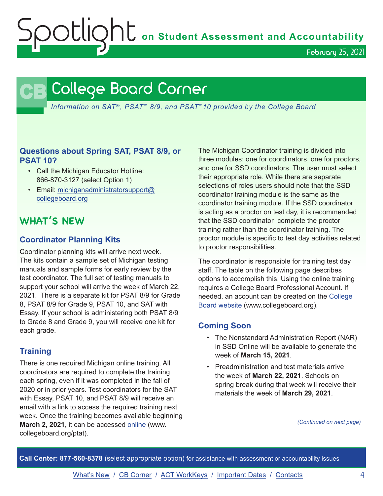OCLIQht on Student Assessment and Accountability

February 25, 2021

# <span id="page-3-0"></span>**CB** College Board Corner

*Information on SAT*®*, PSAT*™ *8/9, and PSAT*™*10 provided by the College Board*

# **Questions about Spring SAT, PSAT 8/9, or PSAT 10?**

- Call the Michigan Educator Hotline: 866-870-3127 (select Option 1)
- Email: [michiganadministratorsupport@](mailto:michiganadministratorsupport%40collegeboard.org?subject=) [collegeboard.org](mailto:michiganadministratorsupport%40collegeboard.org?subject=)

# **WHAT'S NEW**

# **Coordinator Planning Kits**

Coordinator planning kits will arrive next week. The kits contain a sample set of Michigan testing manuals and sample forms for early review by the test coordinator. The full set of testing manuals to support your school will arrive the week of March 22, 2021. There is a separate kit for PSAT 8/9 for Grade 8, PSAT 8/9 for Grade 9, PSAT 10, and SAT with Essay. If your school is administering both PSAT 8/9 to Grade 8 and Grade 9, you will receive one kit for each grade.

# **Training**

There is one required Michigan online training. All coordinators are required to complete the training each spring, even if it was completed in the fall of 2020 or in prior years. Test coordinators for the SAT with Essay, PSAT 10, and PSAT 8/9 will receive an email with a link to access the required training next week. Once the training becomes available beginning **March 2, 2021**, it can be accessed [online](http://www.collegeboard.org/ptat) (www. collegeboard.org/ptat).

The Michigan Coordinator training is divided into three modules: one for coordinators, one for proctors, and one for SSD coordinators. The user must select their appropriate role. While there are separate selections of roles users should note that the SSD coordinator training module is the same as the coordinator training module. If the SSD coordinator is acting as a proctor on test day, it is recommended that the SSD coordinator complete the proctor training rather than the coordinator training. The proctor module is specific to test day activities related to proctor responsibilities.

The coordinator is responsible for training test day staff. The table on the following page describes options to accomplish this. Using the online training requires a College Board Professional Account. If needed, an account can be created on the [College](http://www.collegeboard.org)  [Board website](http://www.collegeboard.org) (www.collegeboard.org).

# **Coming Soon**

- The Nonstandard Administration Report (NAR) in SSD Online will be available to generate the week of **March 15, 2021**.
- Preadministration and test materials arrive the week of **March 22, 2021**. Schools on spring break during that week will receive their materials the week of **March 29, 2021**.

*(Continued on next page)*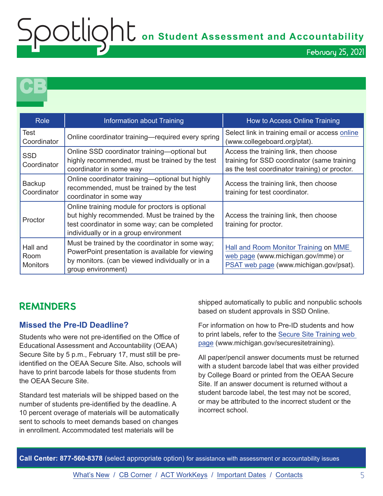February 25, 2021

**CB** 

| <b>Role</b>                         | Information about Training                                                                                                                                                                    | How to Access Online Training                                                                                                         |
|-------------------------------------|-----------------------------------------------------------------------------------------------------------------------------------------------------------------------------------------------|---------------------------------------------------------------------------------------------------------------------------------------|
| <b>Test</b><br>Coordinator          | Online coordinator training—required every spring                                                                                                                                             | Select link in training email or access online<br>(www.collegeboard.org/ptat).                                                        |
| <b>SSD</b><br>Coordinator           | Online SSD coordinator training—optional but<br>highly recommended, must be trained by the test<br>coordinator in some way                                                                    | Access the training link, then choose<br>training for SSD coordinator (same training<br>as the test coordinator training) or proctor. |
| Backup<br>Coordinator               | Online coordinator training—optional but highly<br>recommended, must be trained by the test<br>coordinator in some way                                                                        | Access the training link, then choose<br>training for test coordinator.                                                               |
| Proctor                             | Online training module for proctors is optional<br>but highly recommended. Must be trained by the<br>test coordinator in some way; can be completed<br>individually or in a group environment | Access the training link, then choose<br>training for proctor.                                                                        |
| Hall and<br>Room<br><b>Monitors</b> | Must be trained by the coordinator in some way;<br>PowerPoint presentation is available for viewing<br>by monitors. (can be viewed individually or in a<br>group environment)                 | Hall and Room Monitor Training on MME<br>web page (www.michigan.gov/mme) or<br>PSAT web page (www.michigan.gov/psat).                 |

# **REMINDERS**

# **Missed the Pre-ID Deadline?**

Students who were not pre-identified on the Office of Educational Assessment and Accountability (OEAA) Secure Site by 5 p.m., February 17, must still be preidentified on the OEAA Secure Site. Also, schools will have to print barcode labels for those students from the OEAA Secure Site.

Standard test materials will be shipped based on the number of students pre-identified by the deadline. A 10 percent overage of materials will be automatically sent to schools to meet demands based on changes in enrollment. Accommodated test materials will be

shipped automatically to public and nonpublic schools based on student approvals in SSD Online.

For information on how to Pre-ID students and how to print labels, refer to the [Secure Site Training web](http://www.michigan.gov/securesitetraining)  [page](http://www.michigan.gov/securesitetraining) (www.michigan.gov/securesitetraining).

All paper/pencil answer documents must be returned with a student barcode label that was either provided by College Board or printed from the OEAA Secure Site. If an answer document is returned without a student barcode label, the test may not be scored, or may be attributed to the incorrect student or the incorrect school.

**Call Center: 877-560-8378** (select appropriate option) for assistance with assessment or accountability issues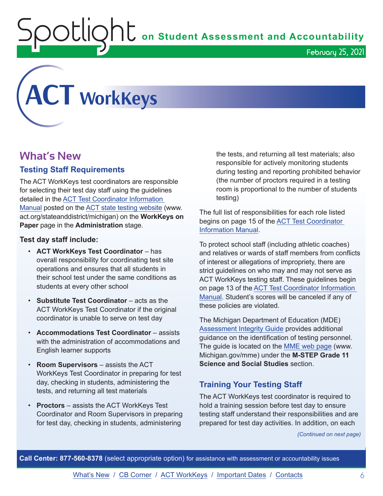<span id="page-5-0"></span>

# **What's New**

# **Testing Staff Requirements**

The ACT WorkKeys test coordinators are responsible for selecting their test day staff using the guidelines detailed in the [ACT Test Coordinator Information](https://www.act.org/content/dam/act/secured/documents/pdfs/state-district-test-coordinator-paper-test.pdf)  [Manual](https://www.act.org/content/dam/act/secured/documents/pdfs/state-district-test-coordinator-paper-test.pdf) posted on the [ACT state testing website](http://www.act.org/stateanddistrict/michigan) (www. act.org/stateanddistrict/michigan) on the **WorkKeys on Paper** page in the **Administration** stage.

## **Test day staff include:**

- **ACT WorkKeys Test Coordinator**  has overall responsibility for coordinating test site operations and ensures that all students in their school test under the same conditions as students at every other school
- **Substitute Test Coordinator** acts as the ACT WorkKeys Test Coordinator if the original coordinator is unable to serve on test day
- **Accommodations Test Coordinator** assists with the administration of accommodations and English learner supports
- **Room Supervisors** assists the ACT WorkKeys Test Coordinator in preparing for test day, checking in students, administering the tests, and returning all test materials
- **Proctors**  assists the ACT WorkKeys Test Coordinator and Room Supervisors in preparing for test day, checking in students, administering

the tests, and returning all test materials; also responsible for actively monitoring students during testing and reporting prohibited behavior (the number of proctors required in a testing room is proportional to the number of students testing)

The full list of responsibilities for each role listed begins on page 15 of the [ACT Test Coordinator](https://www.act.org/content/dam/act/secured/documents/pdfs/state-district-test-coordinator-paper-test.pdf)  [Information Manual](https://www.act.org/content/dam/act/secured/documents/pdfs/state-district-test-coordinator-paper-test.pdf).

To protect school staff (including athletic coaches) and relatives or wards of staff members from conflicts of interest or allegations of impropriety, there are strict guidelines on who may and may not serve as ACT WorkKeys testing staff. These guidelines begin on page 13 of the [ACT Test Coordinator Information](https://www.act.org/content/dam/act/secured/documents/pdfs/state-district-test-coordinator-paper-test.pdf)  [Manual.](https://www.act.org/content/dam/act/secured/documents/pdfs/state-district-test-coordinator-paper-test.pdf) Student's scores will be canceled if any of these policies are violated.

The Michigan Department of Education (MDE) [Assessment Integrity Guide](https://www.michigan.gov/documents/mde/Assessment_Integrity_Guide_291950_7.pdf) provides additional guidance on the identification of testing personnel. The guide is located on the [MME web page](www.michigan.gov/mme) (www. Michigan.gov/mme) under the **M-STEP Grade 11 Science and Social Studies** section.

# **Training Your Testing Staff**

The ACT WorkKeys test coordinator is required to hold a training session before test day to ensure testing staff understand their responsibilities and are prepared for test day activities. In addition, on each

*(Continued on next page)*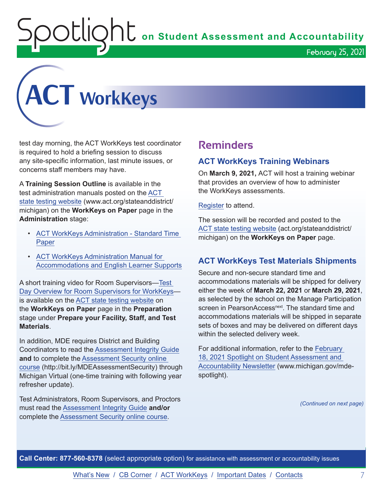OLIQhL on Student Assessment and Accountability



test day morning, the ACT WorkKeys test coordinator is required to hold a briefing session to discuss any site-specific information, last minute issues, or concerns staff members may have.

A **Training Session Outline** is available in the test administration manuals posted on the [ACT](http://www.act.org/stateanddistrict/michigan)  [state testing website](http://www.act.org/stateanddistrict/michigan) (www.act.org/stateanddistrict/ michigan) on the **WorkKeys on Paper** page in the **Administration** stage:

- [ACT WorkKeys Administration Standard Time](http://www.act.org/content/dam/act/secured/documents/pdfs/WK-Admin-SD-Std-Time-Paper-Secured.pdf)  **[Paper](http://www.act.org/content/dam/act/secured/documents/pdfs/WK-Admin-SD-Std-Time-Paper-Secured.pdf)**
- [ACT WorkKeys Administration Manual for](http://www.act.org/content/dam/act/secured/documents/pdfs/WK-Admin-SD-Accoms-Secured.pdf)  [Accommodations and English Learner Supports](http://www.act.org/content/dam/act/secured/documents/pdfs/WK-Admin-SD-Accoms-Secured.pdf)

A short training video for Room Supervisors[—Test](https://www.youtube.com/watch?v=AjntraVbSIQ&feature=youtu.be)  [Day Overview for Room Supervisors for WorkKeys](https://www.youtube.com/watch?v=AjntraVbSIQ&feature=youtu.be) is available on the [ACT state testing website](http://www.act.org/stateanddistrict/michigan) on the **WorkKeys on Paper** page in the **Preparation** stage under **Prepare your Facility, Staff, and Test Materials**.

In addition, MDE requires District and Building Coordinators to read the [Assessment Integrity Guide](https://www.michigan.gov/documents/mde/Assessment_Integrity_Guide_291950_7.pdf) **and** to complete the [Assessment Security online](http://bit.ly/MDEAssessmentSecurity)  [course](http://bit.ly/MDEAssessmentSecurity) (http://bit.ly/MDEAssessmentSecurity) through Michigan Virtual (one-time training with following year refresher update).

Test Administrators, Room Supervisors, and Proctors must read the [Assessment Integrity Guide](https://www.michigan.gov/documents/mde/Assessment_Integrity_Guide_291950_7.pdf) **and/or** complete the [Assessment Security online course.](http://bit.ly/MDEAssessmentSecurity)

# **Reminders**

## **ACT WorkKeys Training Webinars**

On **March 9, 2021,** ACT will host a training webinar that provides an overview of how to administer the WorkKeys assessments.

[Register](https://event.on24.com/wcc/r/2786186/CF7F33DC4E50245260EB7C422A035629) to attend.

The session will be recorded and posted to the [ACT state testing website](http://act.org/stateanddistrict/michigan) (act.org/stateanddistrict/ michigan) on the **WorkKeys on Paper** page.

# **ACT WorkKeys Test Materials Shipments**

Secure and non-secure standard time and accommodations materials will be shipped for delivery either the week of **March 22, 2021** or **March 29, 2021**, as selected by the school on the Manage Participation screen in PearsonAccess<sup>next</sup>. The standard time and accommodations materials will be shipped in separate sets of boxes and may be delivered on different days within the selected delivery week.

For additional information, refer to the [February](https://www.michigan.gov/documents/mde/Spotlight_2-18-21_716864_7.pdf)  [18, 2021 Spotlight on Student Assessment and](https://www.michigan.gov/documents/mde/Spotlight_2-18-21_716864_7.pdf)  [Accountability Newsletter](https://www.michigan.gov/documents/mde/Spotlight_2-18-21_716864_7.pdf) (www.michigan.gov/mdespotlight).

*(Continued on next page)*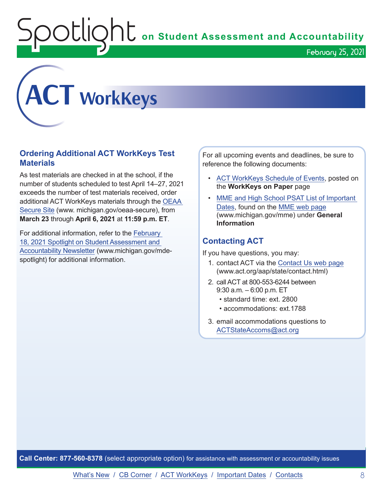$\mathop{\rm O}\nolimits$   $\mathop{\rm Cl}\nolimits$   $\mathop{\rm O}\nolimits$   $\mathop{\rm Cl}\nolimits$  on Student Assessment and Accountability



# **Ordering Additional ACT WorkKeys Test Materials**

As test materials are checked in at the school, if the number of students scheduled to test April 14–27, 2021 exceeds the number of test materials received, order additional ACT WorkKeys materials through the [OEAA](http://www.michigan.gov/oeaa-secure)  [Secure Site](http://www.michigan.gov/oeaa-secure) (www. michigan.gov/oeaa-secure), from **March 23** through **April 6, 2021** at **11:59 p.m. ET**.

For additional information, refer to the [February](https://www.michigan.gov/documents/mde/Spotlight_2-18-21_716864_7.pdf)  [18, 2021 Spotlight on Student Assessment and](https://www.michigan.gov/documents/mde/Spotlight_2-18-21_716864_7.pdf)  [Accountability Newsletter](https://www.michigan.gov/documents/mde/Spotlight_2-18-21_716864_7.pdf) (www.michigan.gov/mdespotlight) for additional information.

For all upcoming events and deadlines, be sure to reference the following documents:

• [ACT WorkKeys Schedule of Events,](https://content.act.org/michigan/r/YWy2bAxclTdZAcOxrrNErw/root) posted on the **WorkKeys on Paper** page

February 25, 2021

• [MME and High School PSAT List of Important](https://www.michigan.gov/mde/0,4615,7-140-22709_105605---,00.html)  [Dates](https://www.michigan.gov/mde/0,4615,7-140-22709_105605---,00.html), found on the [MME web page](www.michigan.gov/mme) (www.michigan.gov/mme) under **General Information**

# **Contacting ACT**

If you have questions, you may:

- 1. contact ACT via the [Contact Us web page](http://www.act.org/aap/state/contact.html) ([www.act.org/aap/state/contact.html\)](https://www.act.org/aap/state/contact.html)
- 2. call ACT at 800-553-6244 between 9:30 a.m. – 6:00 p.m. ET
	- standard time: ext. 2800
	- accommodations: ext.1788
- 3. email accommodations questions to [ACTStateAccoms@act.org](mailto:ACTStateAccoms%40act.org?subject=)

**Call Center: 877-560-8378** (select appropriate option) for assistance with assessment or accountability issues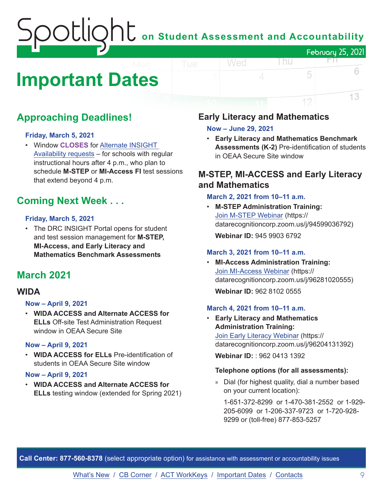# on Student Assessment and Accountability February 25, 2021 FП.

# <span id="page-8-0"></span>**Important Dates**

# **Approaching Deadlines!**

## **Friday, March 5, 2021**

• Window **CLOSES** for [Alternate INSIGHT](https://www.surveymonkey.com/r/INSIGHTAvailabilityRequest)  [Availability requests](https://www.surveymonkey.com/r/INSIGHTAvailabilityRequest) – for schools with regular instructional hours after 4 p.m., who plan to schedule **M-STEP** or **MI-Access FI** test sessions that extend beyond 4 p.m.

# **Coming Next Week . . .**

## **Friday, March 5, 2021**

• The DRC INSIGHT Portal opens for student and test session management for **M-STEP, MI-Access, and Early Literacy and Mathematics Benchmark Assessments**

# **March 2021**

# **WIDA**

## **Now – April 9, 2021**

• **WIDA ACCESS and Alternate ACCESS for ELLs** Off-site Test Administration Request window in OEAA Secure Site

## **Now – April 9, 2021**

• **WIDA ACCESS for ELLs** Pre-identification of students in OEAA Secure Site window

## **Now – April 9, 2021**

• **WIDA ACCESS and Alternate ACCESS for ELLs** testing window (extended for Spring 2021)

# **Early Literacy and Mathematics**

## **Now – June 29, 2021**

Wed

• **Early Literacy and Mathematics Benchmark Assessments (K-2)** Pre-identification of students in OEAA Secure Site window

l nu

5

12

6

13

# **M-STEP, MI-ACCESS and Early Literacy and Mathematics**

## **March 2, 2021 from 10–11 a.m.**

• **M-STEP Administration Training:**  [Join M-STEP Webinar](https://datarecognitioncorp.zoom.us/j/94599036792) (https:// datarecognitioncorp.zoom.us/j/94599036792) **Webinar ID:** 945 9903 6792

#### **March 3, 2021 from 10–11 a.m.**

• **MI-Access Administration Training:**  [Join MI-Access Webinar](https://datarecognitioncorp.zoom.us/j/96281020555) (https:// datarecognitioncorp.zoom.us/j/96281020555)

**Webinar ID:** 962 8102 0555

#### **March 4, 2021 from 10–11 a.m.**

• **Early Literacy and Mathematics Administration Training:**  [Join Early Literacy Webinar](https://datarecognitioncorp.zoom.us/j/96204131392) (https:// datarecognitioncorp.zoom.us/j/96204131392)

**Webinar ID:** : 962 0413 1392

## **Telephone options (for all assessments):**

» Dial (for highest quality, dial a number based on your current location):

1-651-372-8299 or 1-470-381-2552 or 1-929- 205-6099 or 1-206-337-9723 or 1-720-928- 9299 or (toll-free) 877-853-5257

**Call Center: 877-560-8378** (select appropriate option) for assistance with assessment or accountability issues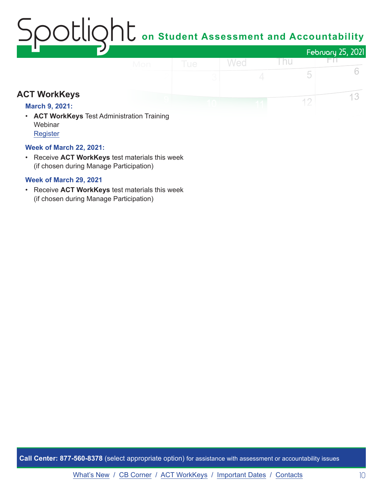# $\mathop{\rm O}\nolimits$   $\mathop{\rm Cl}\nolimits$   $\mathop{\rm O}\nolimits$   $\mathop{\rm Cl}\nolimits$  on Student Assessment and Accountability February 25, 2021 Wed Thu FП.

# **ACT WorkKeys**

## **March 9, 2021:**

• **ACT WorkKeys** Test Administration Training **Webinar** [Register](https://event.on24.com/wcc/r/2786186/CF7F33DC4E50245260EB7C422A035629)

## **Week of March 22, 2021:**

• Receive **ACT WorkKeys** test materials this week (if chosen during Manage Participation)

## **Week of March 29, 2021**

• Receive **ACT WorkKeys** test materials this week (if chosen during Manage Participation)

**Call Center: 877-560-8378** (select appropriate option) for assistance with assessment or accountability issues

6

13

5

 $12$